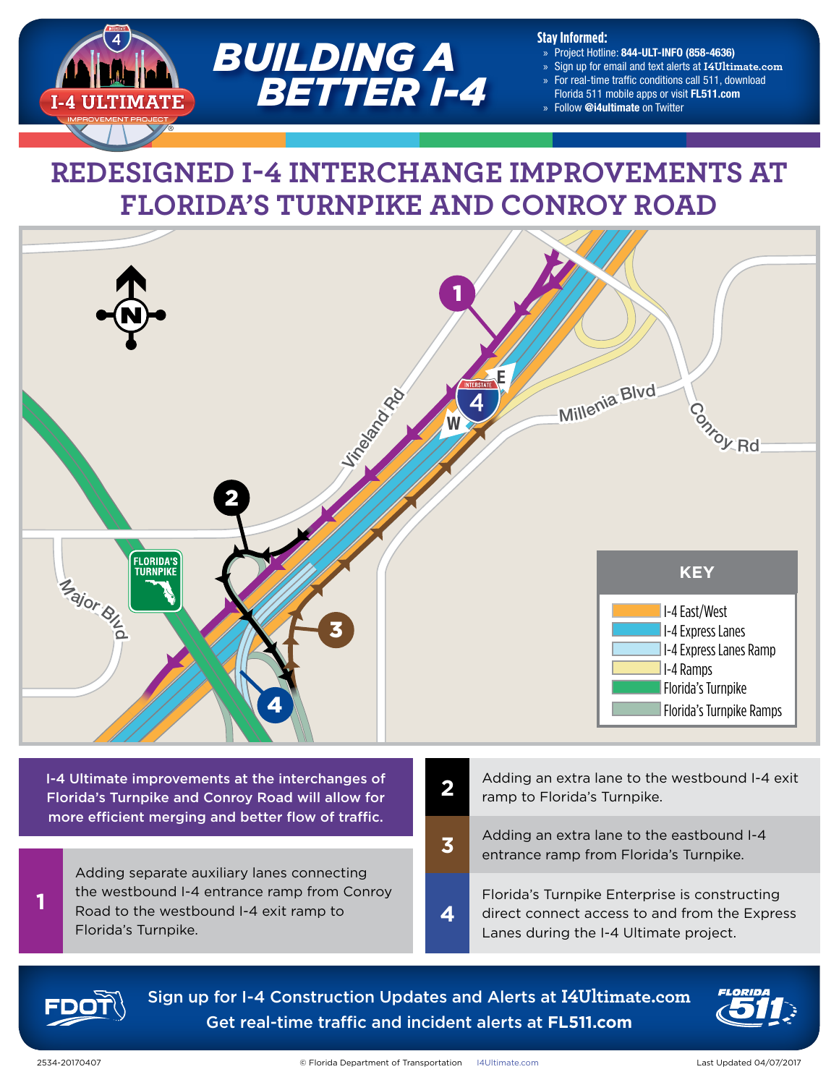

#### **Stay Informed:**

- » Project Hotline: 844-ULT-INFO (858-4636)
- » Sign up for email and text alerts at **[I4Ultimate.com](http://i4ultimate.com)**
- » For real-time traffic conditions call 511, download
- Florida 511 mobile apps or visit [FL511.com](http://www.fl511.com)
- » Follow @i4ultimate on Twitter

# **REDESIGNED I-4 INTERCHANGE IMPROVEMENTS AT FLORIDA'S TURNPIKE AND CONROY ROAD**



I-4 Ultimate improvements at the interchanges of Florida's Turnpike and Conroy Road will allow for more efficient merging and better flow of traffic.

Adding separate auxiliary lanes connecting the westbound I-4 entrance ramp from Conroy Road to the westbound I-4 exit ramp to **4** Florida's Turnpike.

- Adding an extra lane to the westbound I-4 exit ramp to Florida's Turnpike. **2**
	- Adding an extra lane to the eastbound I-4 entrance ramp from Florida's Turnpike.

Florida's Turnpike Enterprise is constructing direct connect access to and from the Express Lanes during the I-4 Ultimate project.



Sign up for I-4 Construction Updates and Alerts at **[I4Ultimate.com](http://I4Ultimate.com)** Get real-time traffic and incident alerts at **[FL511.com](http://FL511.com)**

**3**